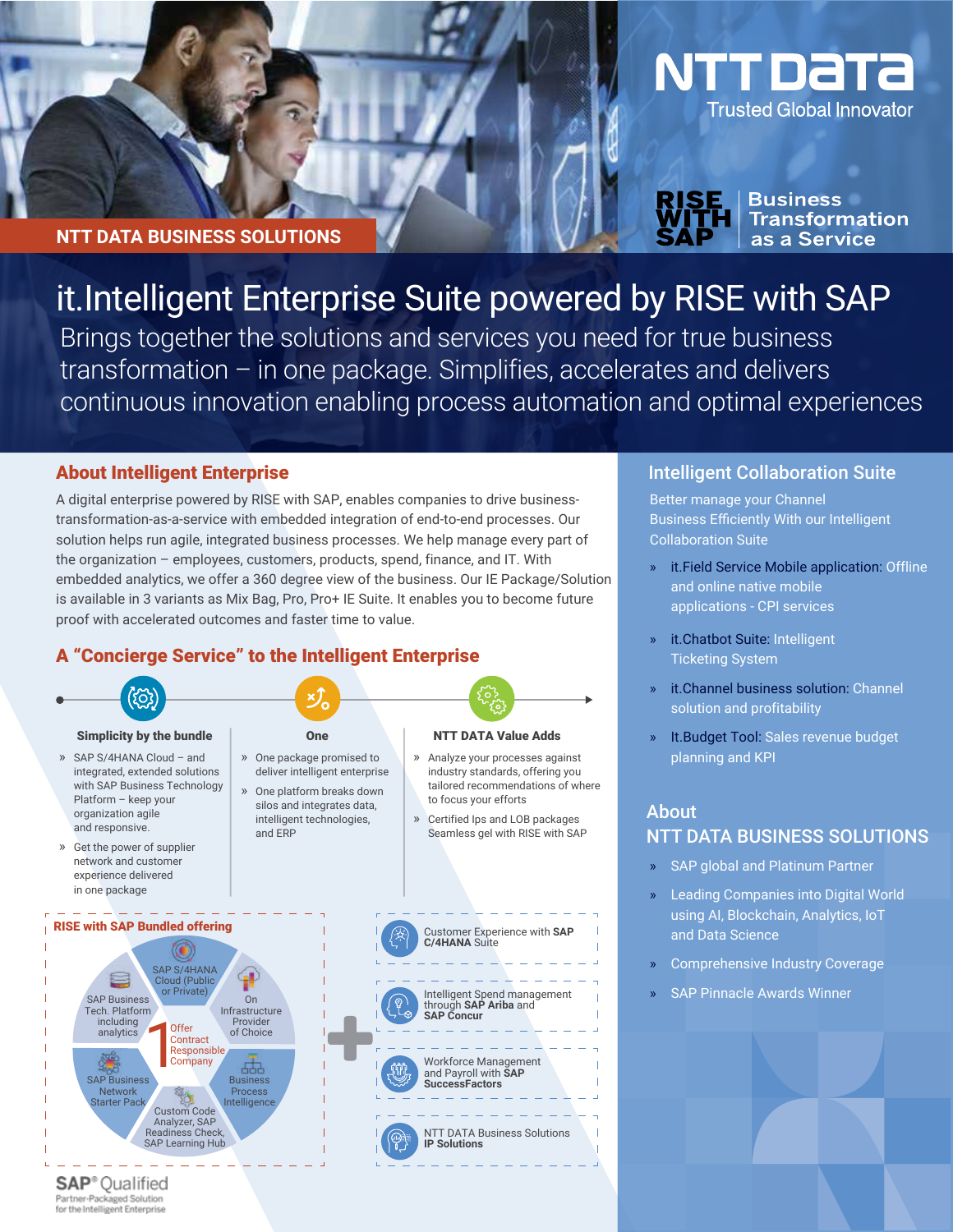#### **NTT DATA BUSINESS SOLUTIONS**

# it.Intelligent Enterprise Suite powered by RISE with SAP

Brings together the solutions and services you need for true business transformation – in one package. Simplifies, accelerates and delivers continuous innovation enabling process automation and optimal experiences

#### About Intelligent Enterprise

A digital enterprise powered by RISE with SAP, enables companies to drive businesstransformation-as-a-service with embedded integration of end-to-end processes. Our solution helps run agile, integrated business processes. We help manage every part of the organization – employees, customers, products, spend, finance, and IT. With embedded analytics, we offer a 360 degree view of the business. Our IE Package/Solution is available in 3 variants as Mix Bag, Pro, Pro+ IE Suite. It enables you to become future proof with accelerated outcomes and faster time to value.

# A "Concierge Service" to the Intelligent Enterprise



#### » SAP S/4HANA Cloud – and integrated, extended solutions with SAP Business Technology Platform – keep your organization agile and responsive.

» Get the power of supplier network and customer experience delivered in one package

RISE with SAP Bundled offering

SAP Business Tech. Platform including analytics

e

SAP Business **Network** Starter Pack

SAP S/4HANA Cloud (Public or Private)

(C)

**Offer Contract** Responsible<br>Company

Custom Code Analyzer, SAP<br>Readiness Chec adiness Check SAP Learning Hub

Infrastructure Provider of Choice

Business Process Intelligence

- » One platform breaks down
	- silos and integrates data, intelligent technologies, and ERP
- 
- » Analyze your processes against industry standards, offering you tailored recommendations of where to focus your efforts
- » Certified Ips and LOB packages Seamless gel with RISE with SAP

# Simplicity by the bundle Simplicity by the bundle Cone Cone NTT DATA Value Adds » One package promised to deliver intelligent enterprise



#### Intelligent Collaboration Suite

NTT DATA

**Trusted Global Innovator** 

**Business** 

**Transformation** as a Service

Better manage your Channel Business Efficiently With our Intelligent Collaboration Suite

- » it.Field Service Mobile application: Offline and online native mobile applications - CPI services
- » it.Chatbot Suite: Intelligent Ticketing System
- it.Channel business solution: Channel solution and profitability
- » It.Budget Tool: Sales revenue budget planning and KPI

## About NTT DATA BUSINESS SOLUTIONS

- SAP global and Platinum Partner
- » Leading Companies into Digital World using AI, Blockchain, Analytics, IoT and Data Science
- » Comprehensive Industry Coverage
- SAP Pinnacle Awards Winner

**SAP**<sup>®</sup> Qualified Partner-Packaged Solution for the Intelligent Enterprise